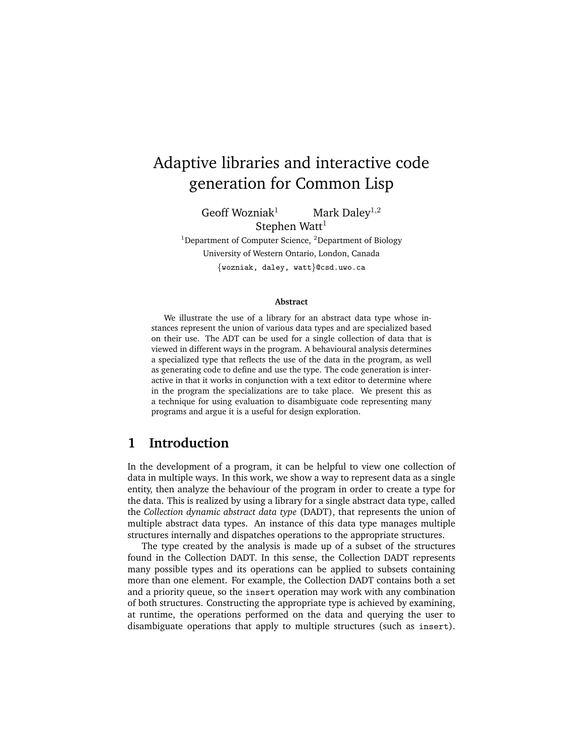# Adaptive libraries and interactive code generation for Common Lisp

Geoff Wozniak<sup>1</sup> Mark Daley<sup>1,2</sup> Stephen Watt $1$ 

<sup>1</sup>Department of Computer Science,  ${}^{2}$ Department of Biology University of Western Ontario, London, Canada {wozniak, daley, watt}@csd.uwo.ca

#### **Abstract**

We illustrate the use of a library for an abstract data type whose instances represent the union of various data types and are specialized based on their use. The ADT can be used for a single collection of data that is viewed in different ways in the program. A behavioural analysis determines a specialized type that reflects the use of the data in the program, as well as generating code to define and use the type. The code generation is interactive in that it works in conjunction with a text editor to determine where in the program the specializations are to take place. We present this as a technique for using evaluation to disambiguate code representing many programs and argue it is a useful for design exploration.

### **1 Introduction**

In the development of a program, it can be helpful to view one collection of data in multiple ways. In this work, we show a way to represent data as a single entity, then analyze the behaviour of the program in order to create a type for the data. This is realized by using a library for a single abstract data type, called the *Collection dynamic abstract data type* (DADT), that represents the union of multiple abstract data types. An instance of this data type manages multiple structures internally and dispatches operations to the appropriate structures.

The type created by the analysis is made up of a subset of the structures found in the Collection DADT. In this sense, the Collection DADT represents many possible types and its operations can be applied to subsets containing more than one element. For example, the Collection DADT contains both a set and a priority queue, so the insert operation may work with any combination of both structures. Constructing the appropriate type is achieved by examining, at runtime, the operations performed on the data and querying the user to disambiguate operations that apply to multiple structures (such as insert).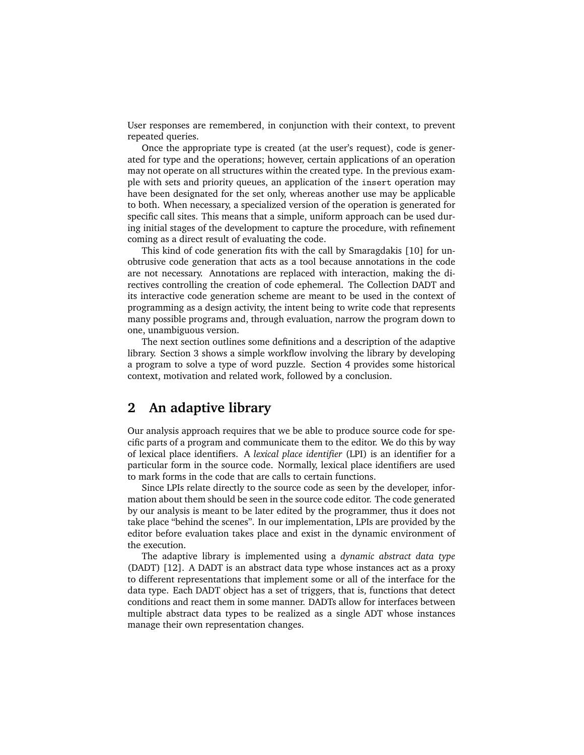User responses are remembered, in conjunction with their context, to prevent repeated queries.

Once the appropriate type is created (at the user's request), code is generated for type and the operations; however, certain applications of an operation may not operate on all structures within the created type. In the previous example with sets and priority queues, an application of the insert operation may have been designated for the set only, whereas another use may be applicable to both. When necessary, a specialized version of the operation is generated for specific call sites. This means that a simple, uniform approach can be used during initial stages of the development to capture the procedure, with refinement coming as a direct result of evaluating the code.

This kind of code generation fits with the call by Smaragdakis [10] for unobtrusive code generation that acts as a tool because annotations in the code are not necessary. Annotations are replaced with interaction, making the directives controlling the creation of code ephemeral. The Collection DADT and its interactive code generation scheme are meant to be used in the context of programming as a design activity, the intent being to write code that represents many possible programs and, through evaluation, narrow the program down to one, unambiguous version.

The next section outlines some definitions and a description of the adaptive library. Section 3 shows a simple workflow involving the library by developing a program to solve a type of word puzzle. Section 4 provides some historical context, motivation and related work, followed by a conclusion.

### **2 An adaptive library**

Our analysis approach requires that we be able to produce source code for specific parts of a program and communicate them to the editor. We do this by way of lexical place identifiers. A *lexical place identifier* (LPI) is an identifier for a particular form in the source code. Normally, lexical place identifiers are used to mark forms in the code that are calls to certain functions.

Since LPIs relate directly to the source code as seen by the developer, information about them should be seen in the source code editor. The code generated by our analysis is meant to be later edited by the programmer, thus it does not take place "behind the scenes". In our implementation, LPIs are provided by the editor before evaluation takes place and exist in the dynamic environment of the execution.

The adaptive library is implemented using a *dynamic abstract data type* (DADT) [12]. A DADT is an abstract data type whose instances act as a proxy to different representations that implement some or all of the interface for the data type. Each DADT object has a set of triggers, that is, functions that detect conditions and react them in some manner. DADTs allow for interfaces between multiple abstract data types to be realized as a single ADT whose instances manage their own representation changes.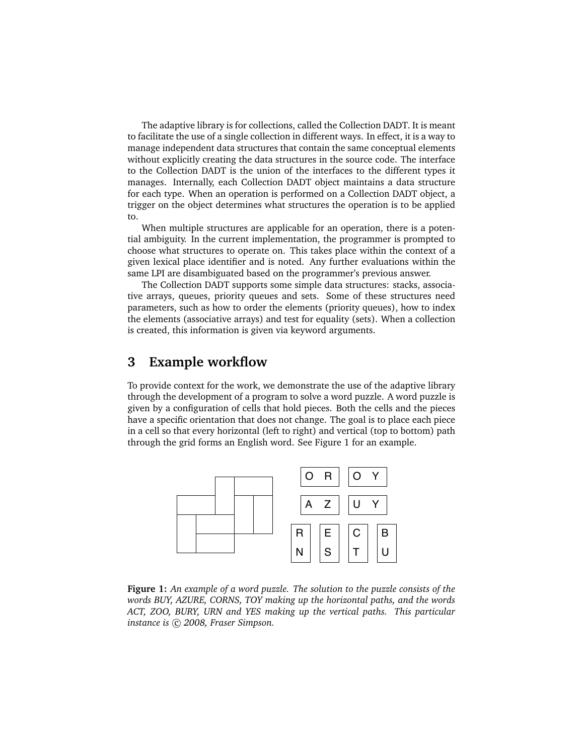The adaptive library is for collections, called the Collection DADT. It is meant to facilitate the use of a single collection in different ways. In effect, it is a way to manage independent data structures that contain the same conceptual elements without explicitly creating the data structures in the source code. The interface to the Collection DADT is the union of the interfaces to the different types it manages. Internally, each Collection DADT object maintains a data structure for each type. When an operation is performed on a Collection DADT object, a trigger on the object determines what structures the operation is to be applied to.

When multiple structures are applicable for an operation, there is a potential ambiguity. In the current implementation, the programmer is prompted to choose what structures to operate on. This takes place within the context of a given lexical place identifier and is noted. Any further evaluations within the same LPI are disambiguated based on the programmer's previous answer.

The Collection DADT supports some simple data structures: stacks, associative arrays, queues, priority queues and sets. Some of these structures need parameters, such as how to order the elements (priority queues), how to index the elements (associative arrays) and test for equality (sets). When a collection is created, this information is given via keyword arguments.

### **3 Example workflow**

To provide context for the work, we demonstrate the use of the adaptive library through the development of a program to solve a word puzzle. A word puzzle is given by a configuration of cells that hold pieces. Both the cells and the pieces have a specific orientation that does not change. The goal is to place each piece in a cell so that every horizontal (left to right) and vertical (top to bottom) path through the grid forms an English word. See Figure 1 for an example.



**Figure 1:** *An example of a word puzzle. The solution to the puzzle consists of the words BUY, AZURE, CORNS, TOY making up the horizontal paths, and the words ACT, ZOO, BURY, URN and YES making up the vertical paths. This particular instance is*  $\odot$  2008, Fraser Simpson.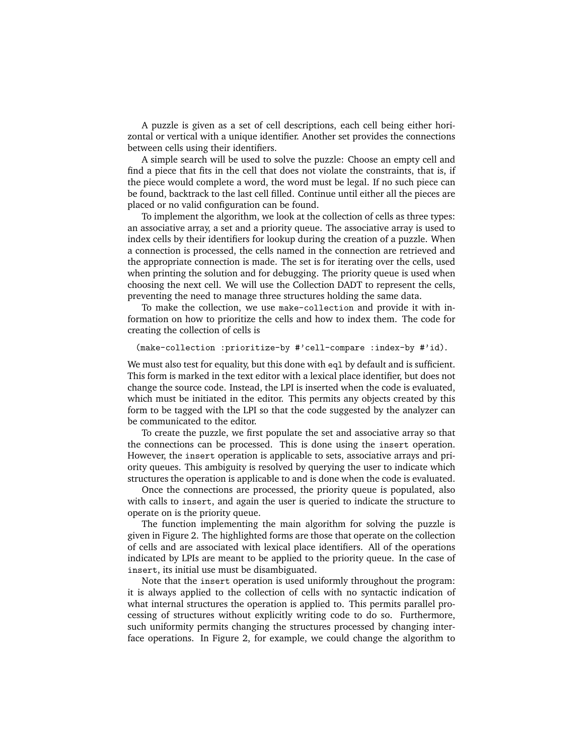A puzzle is given as a set of cell descriptions, each cell being either horizontal or vertical with a unique identifier. Another set provides the connections between cells using their identifiers.

A simple search will be used to solve the puzzle: Choose an empty cell and find a piece that fits in the cell that does not violate the constraints, that is, if the piece would complete a word, the word must be legal. If no such piece can be found, backtrack to the last cell filled. Continue until either all the pieces are placed or no valid configuration can be found.

To implement the algorithm, we look at the collection of cells as three types: an associative array, a set and a priority queue. The associative array is used to index cells by their identifiers for lookup during the creation of a puzzle. When a connection is processed, the cells named in the connection are retrieved and the appropriate connection is made. The set is for iterating over the cells, used when printing the solution and for debugging. The priority queue is used when choosing the next cell. We will use the Collection DADT to represent the cells, preventing the need to manage three structures holding the same data.

To make the collection, we use make-collection and provide it with information on how to prioritize the cells and how to index them. The code for creating the collection of cells is

```
(make-collection :prioritize-by #'cell-compare :index-by #'id).
```
We must also test for equality, but this done with eql by default and is sufficient. This form is marked in the text editor with a lexical place identifier, but does not change the source code. Instead, the LPI is inserted when the code is evaluated, which must be initiated in the editor. This permits any objects created by this form to be tagged with the LPI so that the code suggested by the analyzer can be communicated to the editor.

To create the puzzle, we first populate the set and associative array so that the connections can be processed. This is done using the insert operation. However, the insert operation is applicable to sets, associative arrays and priority queues. This ambiguity is resolved by querying the user to indicate which structures the operation is applicable to and is done when the code is evaluated.

Once the connections are processed, the priority queue is populated, also with calls to insert, and again the user is queried to indicate the structure to operate on is the priority queue.

The function implementing the main algorithm for solving the puzzle is given in Figure 2. The highlighted forms are those that operate on the collection of cells and are associated with lexical place identifiers. All of the operations indicated by LPIs are meant to be applied to the priority queue. In the case of insert, its initial use must be disambiguated.

Note that the insert operation is used uniformly throughout the program: it is always applied to the collection of cells with no syntactic indication of what internal structures the operation is applied to. This permits parallel processing of structures without explicitly writing code to do so. Furthermore, such uniformity permits changing the structures processed by changing interface operations. In Figure 2, for example, we could change the algorithm to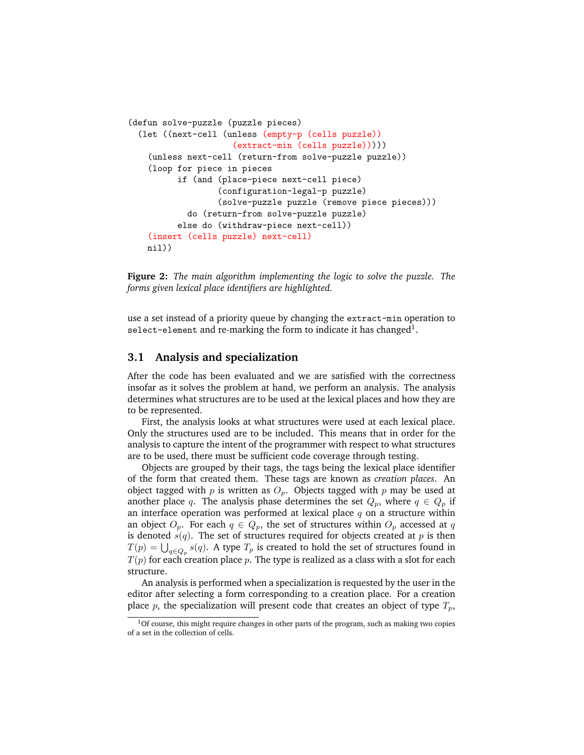```
(defun solve-puzzle (puzzle pieces)
(let ((next-cell (unless (empty-p (cells puzzle))
                   (extract-min (cells puzzle)))))
  (unless next-cell (return-from solve-puzzle puzzle))
  (loop for piece in pieces
        if (and (place-piece next-cell piece)
                (configuration-legal-p puzzle)
                (solve-puzzle puzzle (remove piece pieces)))
          do (return-from solve-puzzle puzzle)
        else do (withdraw-piece next-cell))
  (insert (cells puzzle) next-cell)
 nil))
```
**Figure 2:** *The main algorithm implementing the logic to solve the puzzle. The forms given lexical place identifiers are highlighted.*

use a set instead of a priority queue by changing the extract-min operation to select-element and re-marking the form to indicate it has changed $^{\rm 1}.$ 

### **3.1 Analysis and specialization**

After the code has been evaluated and we are satisfied with the correctness insofar as it solves the problem at hand, we perform an analysis. The analysis determines what structures are to be used at the lexical places and how they are to be represented.

First, the analysis looks at what structures were used at each lexical place. Only the structures used are to be included. This means that in order for the analysis to capture the intent of the programmer with respect to what structures are to be used, there must be sufficient code coverage through testing.

Objects are grouped by their tags, the tags being the lexical place identifier of the form that created them. These tags are known as *creation places*. An object tagged with  $p$  is written as  $O_p$ . Objects tagged with  $p$  may be used at another place q. The analysis phase determines the set  $Q_p$ , where  $q \in Q_p$  if an interface operation was performed at lexical place  $q$  on a structure within an object  $O_p$ . For each  $q \in Q_p$ , the set of structures within  $O_p$  accessed at q is denoted  $s(q)$ . The set of structures required for objects created at p is then  $T(p) = \bigcup_{q \in Q_p} s(q).$  A type  $T_p$  is created to hold the set of structures found in  $T(p)$  for each creation place p. The type is realized as a class with a slot for each structure.

An analysis is performed when a specialization is requested by the user in the editor after selecting a form corresponding to a creation place. For a creation place p, the specialization will present code that creates an object of type  $T_p$ ,

 $1$ Of course, this might require changes in other parts of the program, such as making two copies of a set in the collection of cells.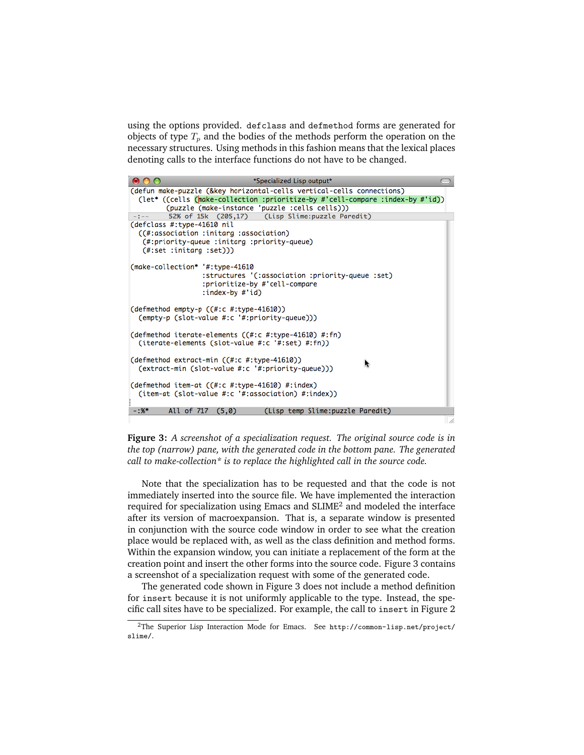using the options provided. defclass and defmethod forms are generated for objects of type  $T_p$  and the bodies of the methods perform the operation on the necessary structures. Using methods in this fashion means that the lexical places denoting calls to the interface functions do not have to be changed.

|                                                                                                                                                   | *Specialized Lisp output*                                                                                                                                                                                |  |
|---------------------------------------------------------------------------------------------------------------------------------------------------|----------------------------------------------------------------------------------------------------------------------------------------------------------------------------------------------------------|--|
|                                                                                                                                                   | (defun make-puzzle (&key horizontal-cells vertical-cells connections)<br>(let* ((cells (make-collection :prioritize-by #'cell-compare :index-by #'id))<br>(puzzle (make-instance 'puzzle :cells cells))) |  |
| $-1 - -$                                                                                                                                          | 52% of 15k (205,17) (Lisp Slime: puzzle Paredit)                                                                                                                                                         |  |
| (defclass #:type-41610 nil<br>((#:association :initarg :association)<br>(#:priority-queue :initarg :priority-queue)<br>$(\#:set :initarg :set)))$ |                                                                                                                                                                                                          |  |
| (make-collection* '#:type-41610<br>:index-by #'id)                                                                                                | :structures '(:association :priority-queue :set)<br>:prioritize-by #'cell-compare                                                                                                                        |  |
| (defmethod empty-p ((#:c #:type-41610))<br>(empty-p (slot-value #:c '#:priority-queue)))                                                          |                                                                                                                                                                                                          |  |
| (iterate-elements (slot-value #:c '#:set) #:fn))                                                                                                  | (defmethod iterate-elements ((#:c #:type-41610) #:fn)                                                                                                                                                    |  |
| (defmethod extract-min ((#:c #:type-41610))                                                                                                       | (extract-min (slot-value #:c '#:priority-queue)))                                                                                                                                                        |  |
| (defmethod item-at $((#:c #:type-41610) #:index)$                                                                                                 | (item-at (slot-value #:c '#:association) #:index))                                                                                                                                                       |  |
| (Lisp temp Slime: puzzle Paredit)<br>$-1.95*$<br>All of 717 (5,0)                                                                                 |                                                                                                                                                                                                          |  |
|                                                                                                                                                   |                                                                                                                                                                                                          |  |

**Figure 3:** *A screenshot of a specialization request. The original source code is in the top (narrow) pane, with the generated code in the bottom pane. The generated call to make-collection\* is to replace the highlighted call in the source code.*

Note that the specialization has to be requested and that the code is not immediately inserted into the source file. We have implemented the interaction required for specialization using Emacs and SLIME<sup>2</sup> and modeled the interface after its version of macroexpansion. That is, a separate window is presented in conjunction with the source code window in order to see what the creation place would be replaced with, as well as the class definition and method forms. Within the expansion window, you can initiate a replacement of the form at the creation point and insert the other forms into the source code. Figure 3 contains a screenshot of a specialization request with some of the generated code.

The generated code shown in Figure 3 does not include a method definition for insert because it is not uniformly applicable to the type. Instead, the specific call sites have to be specialized. For example, the call to insert in Figure 2

<sup>2</sup>The Superior Lisp Interaction Mode for Emacs. See http://common-lisp.net/project/ slime/.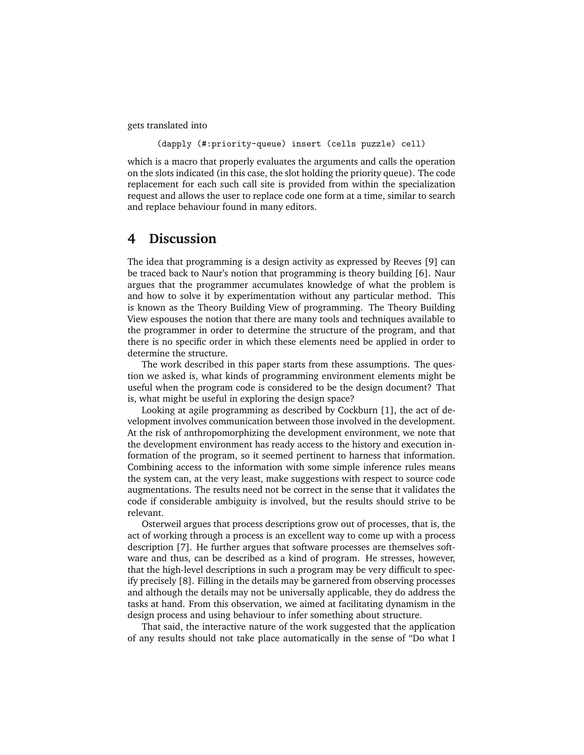gets translated into

(dapply (#:priority-queue) insert (cells puzzle) cell)

which is a macro that properly evaluates the arguments and calls the operation on the slots indicated (in this case, the slot holding the priority queue). The code replacement for each such call site is provided from within the specialization request and allows the user to replace code one form at a time, similar to search and replace behaviour found in many editors.

### **4 Discussion**

The idea that programming is a design activity as expressed by Reeves [9] can be traced back to Naur's notion that programming is theory building [6]. Naur argues that the programmer accumulates knowledge of what the problem is and how to solve it by experimentation without any particular method. This is known as the Theory Building View of programming. The Theory Building View espouses the notion that there are many tools and techniques available to the programmer in order to determine the structure of the program, and that there is no specific order in which these elements need be applied in order to determine the structure.

The work described in this paper starts from these assumptions. The question we asked is, what kinds of programming environment elements might be useful when the program code is considered to be the design document? That is, what might be useful in exploring the design space?

Looking at agile programming as described by Cockburn [1], the act of development involves communication between those involved in the development. At the risk of anthropomorphizing the development environment, we note that the development environment has ready access to the history and execution information of the program, so it seemed pertinent to harness that information. Combining access to the information with some simple inference rules means the system can, at the very least, make suggestions with respect to source code augmentations. The results need not be correct in the sense that it validates the code if considerable ambiguity is involved, but the results should strive to be relevant.

Osterweil argues that process descriptions grow out of processes, that is, the act of working through a process is an excellent way to come up with a process description [7]. He further argues that software processes are themselves software and thus, can be described as a kind of program. He stresses, however, that the high-level descriptions in such a program may be very difficult to specify precisely [8]. Filling in the details may be garnered from observing processes and although the details may not be universally applicable, they do address the tasks at hand. From this observation, we aimed at facilitating dynamism in the design process and using behaviour to infer something about structure.

That said, the interactive nature of the work suggested that the application of any results should not take place automatically in the sense of "Do what I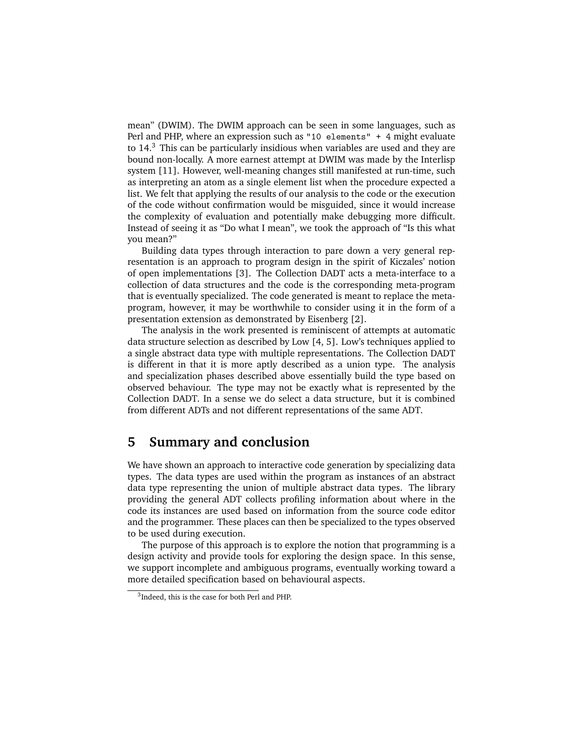mean" (DWIM). The DWIM approach can be seen in some languages, such as Perl and PHP, where an expression such as "10 elements" + 4 might evaluate to 14.<sup>3</sup> This can be particularly insidious when variables are used and they are bound non-locally. A more earnest attempt at DWIM was made by the Interlisp system [11]. However, well-meaning changes still manifested at run-time, such as interpreting an atom as a single element list when the procedure expected a list. We felt that applying the results of our analysis to the code or the execution of the code without confirmation would be misguided, since it would increase the complexity of evaluation and potentially make debugging more difficult. Instead of seeing it as "Do what I mean", we took the approach of "Is this what you mean?"

Building data types through interaction to pare down a very general representation is an approach to program design in the spirit of Kiczales' notion of open implementations [3]. The Collection DADT acts a meta-interface to a collection of data structures and the code is the corresponding meta-program that is eventually specialized. The code generated is meant to replace the metaprogram, however, it may be worthwhile to consider using it in the form of a presentation extension as demonstrated by Eisenberg [2].

The analysis in the work presented is reminiscent of attempts at automatic data structure selection as described by Low [4, 5]. Low's techniques applied to a single abstract data type with multiple representations. The Collection DADT is different in that it is more aptly described as a union type. The analysis and specialization phases described above essentially build the type based on observed behaviour. The type may not be exactly what is represented by the Collection DADT. In a sense we do select a data structure, but it is combined from different ADTs and not different representations of the same ADT.

### **5 Summary and conclusion**

We have shown an approach to interactive code generation by specializing data types. The data types are used within the program as instances of an abstract data type representing the union of multiple abstract data types. The library providing the general ADT collects profiling information about where in the code its instances are used based on information from the source code editor and the programmer. These places can then be specialized to the types observed to be used during execution.

The purpose of this approach is to explore the notion that programming is a design activity and provide tools for exploring the design space. In this sense, we support incomplete and ambiguous programs, eventually working toward a more detailed specification based on behavioural aspects.

<sup>3</sup> Indeed, this is the case for both Perl and PHP.